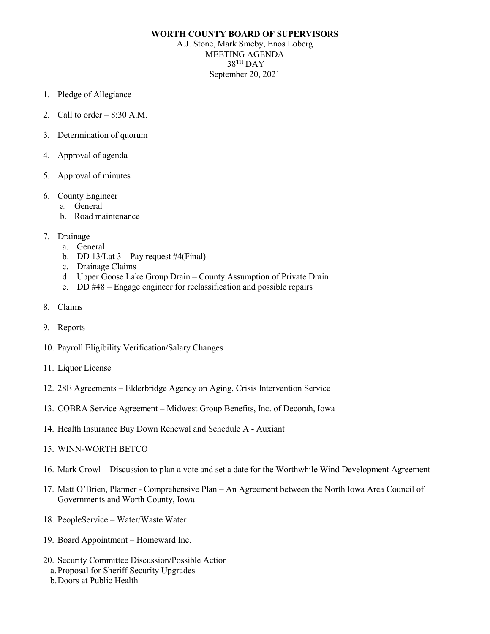## **WORTH COUNTY BOARD OF SUPERVISORS**

A.J. Stone, Mark Smeby, Enos Loberg MEETING AGENDA 38TH DAY September 20, 2021

- 1. Pledge of Allegiance
- 2. Call to order  $-8:30$  A.M.
- 3. Determination of quorum
- 4. Approval of agenda
- 5. Approval of minutes
- 6. County Engineer
	- a. General
	- b. Road maintenance
- 7. Drainage
	- a. General
	- b. DD 13/Lat  $3 Pay$  request #4(Final)
	- c. Drainage Claims
	- d. Upper Goose Lake Group Drain County Assumption of Private Drain
	- e. DD #48 Engage engineer for reclassification and possible repairs
- 8. Claims
- 9. Reports
- 10. Payroll Eligibility Verification/Salary Changes
- 11. Liquor License
- 12. 28E Agreements Elderbridge Agency on Aging, Crisis Intervention Service
- 13. COBRA Service Agreement Midwest Group Benefits, Inc. of Decorah, Iowa
- 14. Health Insurance Buy Down Renewal and Schedule A Auxiant
- 15. WINN-WORTH BETCO
- 16. Mark Crowl Discussion to plan a vote and set a date for the Worthwhile Wind Development Agreement
- 17. Matt O'Brien, Planner Comprehensive Plan An Agreement between the North Iowa Area Council of Governments and Worth County, Iowa
- 18. PeopleService Water/Waste Water
- 19. Board Appointment Homeward Inc.
- 20. Security Committee Discussion/Possible Action
	- a.Proposal for Sheriff Security Upgrades
	- b.Doors at Public Health